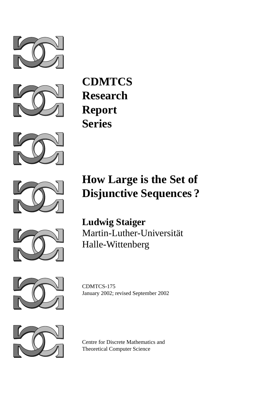



**CDMTCS Research Report Series**



# **How Large is the Set of Disjunctive Sequences ?**



**Ludwig Staiger** Martin-Luther-Universität Halle-Wittenberg



CDMTCS-175 January 2002; revised September 2002



Centre for Discrete Mathematics and Theoretical Computer Science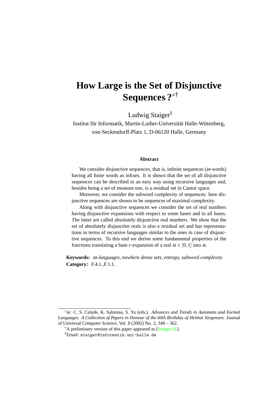# **How Large is the Set of Disjunctive Sequences ?**<sup>∗</sup>†

Ludwig Staiger‡

Institut für Informatik, Martin-Luther-Universität Halle-Wittenberg, von-Seckendorff-Platz 1, D-06120 Halle, Germany

#### **Abstract**

We consider disjunctive sequences, that is, infinite sequences ( $\omega$ -words) having all finite words as infixes. It is shown that the set of all disjunctive sequences can be described in an easy way using recursive languages and, besides being a set of measure one, is a residual set in Cantor space.

Moreover, we consider the subword complexity of sequences: here disjunctive sequences are shown to be sequences of maximal complexity.

Along with disjunctive sequences we consider the set of real numbers having disjunctive expansions with respect to some bases and to all bases. The latter are called absolutely disjunctive real numbers. We show that the set of absolutely disjunctive reals is also a residual set and has representations in terms of recursive languages similar to the ones in case of disjunctive sequences. To this end we derive some fundamental properties of the functions translating a base *r*-expansion of a real  $\alpha \in [0,1]$  into  $\alpha$ .

**Keywords:** ω*-languages, nowhere dense sets, entropy, subword complexity* **Category:** F.4.1.,F.1.1.

<sup>∗</sup> in: C. S. Calude, K. Salomaa, S. Yu (eds.). *Advances and Trends in Automata and Formal Languages. A Collection of Papers in Honour of the 60th Birthday of Helmut Jurgensen. ¨* Journal of Universal Computer Science, Vol. 8 (2002) No. 2, 348 – 362.

 $^{\dagger}$ A preliminary version of this paper appeared as [[Staiger 01\]](#page-18-0).

<sup>‡</sup>Email: staiger@informatik.uni-halle.de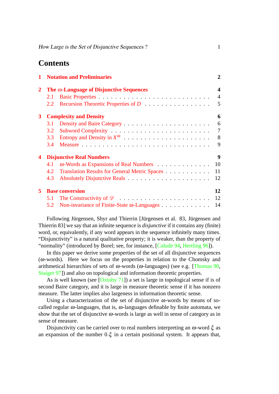# **Contents**

| 1            | <b>Notation and Preliminaries</b>               |                                                              |                |  |  |  |  |
|--------------|-------------------------------------------------|--------------------------------------------------------------|----------------|--|--|--|--|
| $\mathbf{2}$ | The $\omega$ -Language of Disjunctive Sequences |                                                              |                |  |  |  |  |
|              | 2.1                                             |                                                              | $\overline{4}$ |  |  |  |  |
|              | 2.2                                             |                                                              | 5              |  |  |  |  |
| $\mathbf{3}$ |                                                 | <b>Complexity and Density</b>                                | 6              |  |  |  |  |
|              | 3.1                                             |                                                              | 6              |  |  |  |  |
|              | 3.2                                             |                                                              | 7              |  |  |  |  |
|              | 3.3                                             | 8                                                            |                |  |  |  |  |
|              | $3.4^{\circ}$                                   |                                                              | 9              |  |  |  |  |
| 4            |                                                 | <b>Disjunctive Real Numbers</b>                              | 9              |  |  |  |  |
|              | 4.1                                             | $\omega$ -Words as Expansions of Real Numbers<br>10          |                |  |  |  |  |
|              | 4.2                                             | Translation Results for General Metric Spaces<br>11          |                |  |  |  |  |
|              | 4.3                                             | 12                                                           |                |  |  |  |  |
| 5            | <b>Base conversion</b>                          |                                                              |                |  |  |  |  |
|              | 5.1                                             | 12                                                           |                |  |  |  |  |
|              |                                                 | 5.2 Non-invariance of Finite-State $\omega$ -Languages<br>14 |                |  |  |  |  |

Following Jürgensen, Shyr and Thierrin [Jürgensen et al. 83, Jürgensen and Thierrin 83] we say that an infinite sequence is *disjunctive* if it contains any (finite) word, or, equivalently, if any word appears in the sequence infinitely many times. "Disjunctivity" is a natural qualitative property; it is weaker, than the property of "normality" (introduced by Borel; see, for instance, [\[Calude 94](#page-17-0), [Hertling 96\]](#page-17-1)).

In this paper we derive some properties of the set of all disjunctive sequences  $(\omega$ -words). Here we focus on the properties in relation to the Chomsky and arithmetical hierarchies of sets of  $\omega$ -words ( $\omega$ -languages) (see e.g. [\[Thomas 90,](#page-18-1) [Staiger 97\]](#page-18-2)) and also on topological and information theoretic properties.

As is well known (see [[Oxtoby 71](#page-18-3)]) a set is large in topological sense if is of second Baire category, and it is large in measure theoretic sense if it has nonzero measure. The latter implies also largeness in information theoretic sense.

Using a characterization of the set of disjunctive  $\omega$ -words by means of socalled regular  $\omega$ -languages, that is,  $\omega$ -languages definable by finite automata, we show that the set of disjunctive  $\omega$ -words is large as well in sense of category as in sense of measure.

Disjunctivity can be carried over to real numbers interpreting an  $\omega$ -word  $\xi$  as an expansion of the number  $0.\xi$  in a certain positional system. It appears that,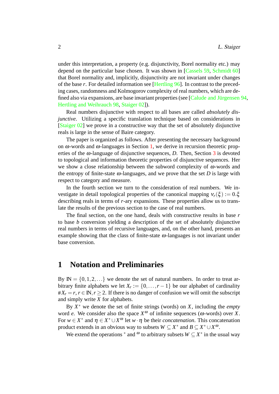under this interpretation, a property (e.g. disjunctivity, Borel normality etc.) may depend on the particular base chosen. It was shown in [\[Cassels 59,](#page-17-2) [Schmidt 60](#page-18-4)] that Borel normality and, implicitly, disjunctivity are not invariant under changes of the base *r*. For detailed information see [\[Hertling 96\]](#page-17-1). In contrast to the preceding cases, randomness and Kolmogorov complexity of real numbers, which are defined also via expansions, are base invariant properties (see [Calude and Jürgensen  $94$ , [Hertling and Weihrauch 98](#page-17-4), [Staiger 02](#page-18-5)]).

Real numbers disjunctive with respect to all bases are called *absolutely disjunctive*. Utilizing a specific translation technique based on considerations in [[Staiger 02\]](#page-18-5) we prove in a constructive way that the set of absolutely disjunctive reals is large in the sense of Baire category.

The paper is organized as follows. After presenting the necessary background on  $\omega$ -words and  $\omega$ -languages in Section [1,](#page-3-0) we derive in recursion theoretic properties of the  $\omega$ -language of disjunctive sequences, *D*. Then, Section [3](#page-7-0) is devoted to topological and information theoretic properties of disjunctive sequences. Her we show a close relationship between the subword complexity of  $\omega$ -words and the entropy of finite-state  $\omega$ -languages, and we prove that the set *D* is large with respect to category and measure.

In the fourth section we turn to the consideration of real numbers. We investigate in detail topological properties of the canonical mapping  $v_r(\xi) := 0.\xi$ describing reals in terms of *r*-ary expansions. These properties allow us to translate the results of the previous section to the case of real numbers.

The final section, on the one hand, deals with constructive results in base *r* to base *b* conversion yielding a description of the set of absolutely disjunctive real numbers in terms of recursive languages, and, on the other hand, presents an example showing that the class of finite-state  $\omega$ -languages is not invariant under base conversion.

### <span id="page-3-0"></span>**1 Notation and Preliminaries**

By  $\mathbb{N} = \{0, 1, 2, \ldots\}$  we denote the set of natural numbers. In order to treat arbitrary finite alphabets we let  $X_r := \{0, \ldots, r-1\}$  be our alphabet of cardinality  $\#X_r = r, r \in \mathbb{N}, r \geq 2$ . If there is no danger of confusion we will omit the subscript and simply write *X* for alphabets.

By  $X^*$  we denote the set of finite strings (words) on *X*, including the *empty* word *e*. We consider also the space  $X^{\omega}$  of infinite sequences ( $\omega$ -words) over *X*. For  $w \in X^*$  and  $\eta \in X^* \cup X^\omega$  let  $w \cdot \eta$  be their *concatenation*. This concatenation product extends in an obvious way to subsets  $W \subseteq X^*$  and  $B \subseteq X^* \cup X^{\omega}$ .

We extend the operations  $*$  and  $\omega$  to arbitrary subsets  $W \subseteq X^*$  in the usual way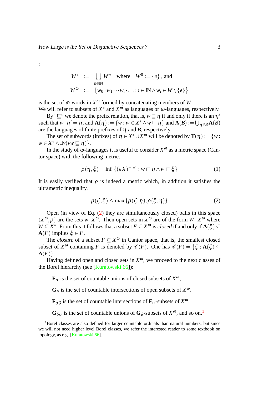:

$$
W^* := \bigcup_{n \in \mathbb{N}} W^n \quad \text{where} \quad W^0 := \{e\} \text{ , and}
$$

$$
W^{\omega} := \{w_0 \cdot w_1 \cdots w_i \cdot \ldots : i \in \mathbb{N} \wedge w_i \in W \setminus \{e\}\}
$$

is the set of  $\omega$ -words in  $X^{\omega}$  formed by concatenating members of W. We will refer to subsets of  $X^*$  and  $X^{\omega}$  as languages or  $\omega$ -languages, respectively.

By " $\sqsubseteq$ " we denote the prefix relation, that is,  $w \sqsubseteq \eta$  if and only if there is an  $\eta'$ such that  $w \cdot \eta' = \eta$ , and  $\mathbf{A}(\eta) := \{w : w \in X^* \wedge w \sqsubseteq \eta\}$  and  $\mathbf{A}(B) := \bigcup_{\eta \in B} \mathbf{A}(B)$ are the languages of finite prefixes of  $\eta$  and *B*, respectively.

The set of subwords (infixes) of  $\eta \in X^* \cup X^{\omega}$  will be denoted by  $\mathbf{T}(\eta) := \{w : X^* \cup X^{\omega}\}$  $w \in X^* \wedge \exists v (vw \sqsubseteq \eta) \}.$ 

In the study of  $\omega$ -languages it is useful to consider  $X^{\omega}$  as a metric space (Cantor space) with the following metric.

$$
\rho(\eta,\xi) = \inf \left\{ (\#X)^{-|w|} : w \sqsubset \eta \wedge w \sqsubset \xi \right\} \tag{1}
$$

It is easily verified that  $\rho$  is indeed a metric which, in addition it satisfies the ultrametric inequality.

<span id="page-4-0"></span>
$$
\rho(\zeta,\xi) \le \max\left\{\rho(\zeta,\eta),\rho(\xi,\eta)\right\} \tag{2}
$$

Open (in view of Eq. [\(2](#page-4-0)) they are simultaneously closed) balls in this space  $(X^{\omega}, \rho)$  are the sets  $w \cdot X^{\omega}$ . Then open sets in  $X^{\omega}$  are of the form  $W \cdot X^{\omega}$  where  $W \subseteq X^*$ . From this it follows that a subset  $F \subseteq X^\omega$  is *closed* if and only if  $\mathbf{A}(\xi) \subseteq$ **A**(*F*) implies  $\xi \in F$ .

The *closure* of a subset  $F \subseteq X^{\omega}$  in Cantor space, that is, the smallest closed subset of  $X^{\omega}$  containing *F* is denoted by  $\mathscr{C}(F)$ . One has  $\mathscr{C}(F) = \{\xi : A(\xi) \subseteq$  ${\bf A}(F)$ .

Having defined open and closed sets in  $X^{\omega}$ , we proceed to the next classes of the Borel hierarchy (see [\[Kuratowski 66\]](#page-18-6)):

 $\mathbf{F}_{\sigma}$  is the set of countable unions of closed subsets of  $X^{\omega}$ ,

 $G_{\delta}$  is the set of countable intersections of open subsets of  $X^{\omega}$ .

**F**<sub>σδ</sub> is the set of countable intersections of **F**<sub>σ</sub>-subsets of  $X^{\omega}$ ,

 $G_{\delta\sigma}$  is the set of countable unions of  $G_{\delta}$ -subsets of  $X^{\omega}$ , and so on.<sup>[1](#page-4-1)</sup>

<span id="page-4-1"></span><sup>&</sup>lt;sup>1</sup>Borel classes are also defined for larger countable ordinals than natural numbers, but since we will not need higher level Borel classes, we refer the interested reader to some textbook on topology, as e.g. [\[Kuratowski 66\]](#page-18-6).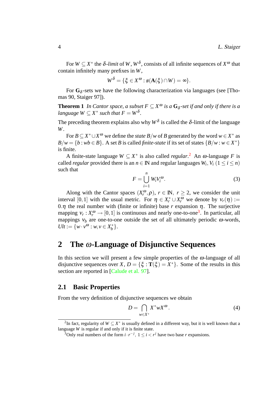For  $W \subseteq X^*$  the  $\delta$ -*limit* of W,  $W^{\delta}$ , consists of all infinite sequences of  $X^{\omega}$  that contain infinitely many prefixes in *W*,

$$
W^{\delta} = \{ \xi \in X^{\omega} : \#(\mathbf{A}(\xi) \cap W) = \infty \}.
$$

For  $G_{\delta}$ -sets we have the following characterization via languages (see [Thomas 90, Staiger 97]).

**Theorem 1** *In Cantor space, a subset*  $F \subseteq X^\omega$  *is a*  $G_\delta$ -set *if and only if there is a language*  $W \subseteq X^*$  *such that*  $F = W^{\delta}$ .

The preceding theorem explains also why  $W^{\delta}$  is called the  $\delta$ -limit of the language *W*.

For  $B \subseteq X^* \cup X^{\omega}$  we define the *state*  $B/w$  of *B* generated by the word  $w \in X^*$  as  $B/w = \{b : wb \in B\}$ . A set *B* is called *finite-state* if its set of states  $\{B/w : w \in X^*\}$ is finite.

A finite-state language  $W \subseteq X^*$  is also called *regular*.<sup>[2](#page-5-2)</sup> An  $\omega$ -language *F* is called *regular* provided there is an  $n \in \mathbb{N}$  and regular languages  $W_i$ ,  $V_i$  ( $1 \le i \le n$ ) such that

<span id="page-5-4"></span>
$$
F = \bigcup_{i=1}^{n} W_i V_i^{\omega}.
$$
 (3)

Along with the Cantor spaces  $(X_r^{\omega})$  $r_r^{\omega}$ , $\rho$ ),  $r \in \mathbb{N}$ ,  $r \geq 2$ , we consider the unit interval [0,1] with the usual metric. For  $\eta \in X_r^* \cup X_r^{\omega}$  we denote by  $v_r(\eta) :=$ 0. $\eta$  the real number with (finite or infinite) base  $r$  expansion  $\eta$ . The surjective mapping  $v_r : X_r^{\omega} \to [0,1]$  is continuous and nearly one-to-one<sup>[3](#page-5-3)</sup>. In particular, all mappings  $v_b$  are one-to-one outside the set of all ultimately periodic  $\omega$ -words,  $Ult := \{w \cdot v^{\omega} : w, v \in X_h^*\}$ *b* }.

# <span id="page-5-0"></span>**2 The** ω**-Language of Disjunctive Sequences**

In this section we will present a few simple properties of the  $\omega$ -language of all disjunctive sequences over *X*,  $D = \{\xi : \mathbf{T}(\xi) = X^*\}$ . Some of the results in this section are reported in [\[Calude et al. 97](#page-17-5)].

### <span id="page-5-1"></span>**2.1 Basic Properties**

From the very definition of disjunctive sequences we obtain

<span id="page-5-5"></span>
$$
D = \bigcap_{w \in X^*} X^* w X^{\omega}.
$$
 (4)

<span id="page-5-2"></span><sup>&</sup>lt;sup>2</sup>In fact, regularity of  $W \subseteq X^*$  is usually defined in a different way, but it is well known that a language *W* is regular if and only if it is finite state.

<span id="page-5-3"></span><sup>&</sup>lt;sup>3</sup>Only real numbers of the form  $i \cdot r^{-j}$ ,  $1 \le i < r^{j}$  have two base *r* expansions.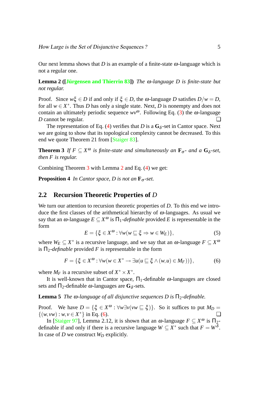<span id="page-6-2"></span>Our next lemma shows that *D* is an example of a finite-state  $\omega$ -language which is not a regular one.

**Lemma 2 ([\[Jurgensen and Thierrin 83](#page-17-6) ¨ ])** *The* ω*-language D is finite-state but not regular.*

Proof. Since  $w\xi \in D$  if and only if  $\xi \in D$ , the  $\omega$ -language *D* satisfies  $D/w = D$ , for all  $w \in X^*$ . Thus *D* has only a single state. Next, *D* is nonempty and does not contain an ultimately periodic sequence  $wv^{\omega}$ . Following Eq. ([3\)](#page-5-4) the  $\omega$ -language *D* cannot be regular.

<span id="page-6-1"></span>The representation of Eq. [\(4\)](#page-5-5) verifies that *D* is a  $G_{\delta}$ -set in Cantor space. Next we are going to show that its topological complexity cannot be decreased. To this end we quote Theorem 21 from [[Staiger 83\]](#page-18-7).

**Theorem 3** *If*  $F \subseteq X^{\omega}$  *is finite-state and simultaneously an*  $\mathbf{F}_{\sigma}$ *- and a*  $\mathbf{G}_{\delta}$ *-set, then F is regular.*

Combining Theorem [3](#page-6-1) with Lemma [2](#page-6-2) and Eq. [\(4](#page-5-5)) we get:

**Proposition 4** *In Cantor space, D is not an*  $\mathbf{F}_{\sigma}$ -set.

### <span id="page-6-0"></span>**2.2 Recursion Theoretic Properties of** *D*

We turn our attention to recursion theoretic properties of *D*. To this end we introduce the first classes of the arithmetical hierarchy of  $\omega$ -languages. As usual we say that an  $\omega$ -language  $E \subseteq X^{\omega}$  is  $\Pi_1$ -*definable* provided E is representable in the form

$$
E = \{\xi \in X^{\omega} : \forall w (w \sqsubseteq \xi \Rightarrow w \in W_E)\},\tag{5}
$$

where  $W_E \subseteq X^*$  is a recursive language, and we say that an  $\omega$ -language  $F \subseteq X^{\omega}$ is  $\Pi_2$ -*definable* provided *F* is representable in the form

<span id="page-6-3"></span>
$$
F = \{ \xi \in X^{\omega} : \forall w (w \in X^* \to \exists u (u \sqsubseteq \xi \land (w, u) \in M_F)) \},
$$
 (6)

where  $M_F$  is a recursive subset of  $X^* \times X^*$ .

It is well-known that in Cantor space,  $\Pi_1$ -definable  $\omega$ -languages are closed sets and  $\Pi_2$ -definable  $\omega$ -languages are  $G_\delta$ -sets.

**Lemma 5** *The*  $\omega$ -language of all disjunctive sequences D is  $\Pi_2$ -definable.

Proof. We have  $D = \{\xi \in X^{\omega} : \forall w \exists v (vw \sqsubseteq \xi)\}\)$ . So it suffices to put  $M_D =$  $\{(w,vw): w, v \in X^*\}$  in Eq. [\(6](#page-6-3)).

<span id="page-6-4"></span>In [\[Staiger 97\]](#page-18-2), Lemma 2.12, it is shown that an  $\omega$ -language  $F \subseteq X^{\omega}$  is  $\Pi_2$ definable if and only if there is a recursive language  $W \subseteq X^*$  such that  $F = W^{\overline{\delta}}$ . In case of *D* we construct *W<sup>D</sup>* explicitly.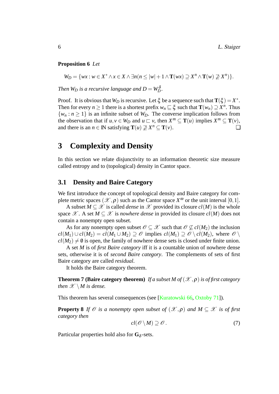### **Proposition 6** *Let*

 $W_D = \{ wx : w \in X^* \land x \in X \land \exists n (n \leq |w| + 1 \land \mathbf{T}(wx) \supseteq X^n \land \mathbf{T}(w) \supseteq X^n) \}.$ 

*Then*  $W_D$  *is a recursive language and*  $D = W_D^{\delta}$ .

Proof. It is obvious that  $W_D$  is recursive. Let  $\xi$  be a sequence such that  $\mathbf{T}(\xi) = X^*$ . Then for every  $n \ge 1$  there is a shortest prefix  $w_n \sqsubseteq \xi$  such that  $\mathbf{T}(w_n) \supseteq X^n$ . Thus  $\{w_n : n \geq 1\}$  is an infinite subset of  $W_D$ . The converse implication follows from the observation that if  $u, v \in W_D$  and  $u \sqsubset v$ , then  $X^m \subseteq T(u)$  implies  $X^m \subseteq T(v)$ , and there is an  $n \in \mathbb{N}$  satisfying  $\mathbf{T}(u) \not\supseteq X^n \subseteq \mathbf{T}(v)$ .

## <span id="page-7-0"></span>**3 Complexity and Density**

In this section we relate disjunctivity to an information theoretic size measure called entropy and to (topological) density in Cantor space.

### <span id="page-7-1"></span>**3.1 Density and Baire Category**

We first introduce the concept of topological density and Baire category for complete metric spaces  $(\mathscr{X}, \rho)$  such as the Cantor space  $X^{\omega}$  or the unit interval [0, 1].

A subset  $M \subseteq \mathcal{X}$  is called *dense* in  $\mathcal{X}$  provided its closure  $cl(M)$  is the whole space  $\mathscr{X}$ . A set  $M \subseteq \mathscr{X}$  is *nowhere dense* in provided its closure  $cl(M)$  does not contain a nonempty open subset.

As for any nonempty open subset  $\mathcal{O} \subseteq \mathcal{X}$  such that  $\mathcal{O} \nsubseteq cl(M_2)$  the inclusion  $cl(M_1) \cup cl(M_2) = cl(M_1 \cup M_2) \supseteq \mathcal{O}$  implies  $cl(M_1) \supseteq \mathcal{O} \setminus cl(M_2)$ , where  $\mathcal{O} \setminus$  $cl(M_2) \neq \emptyset$  is open, the family of nowhere dense sets is closed under finite union.

A set *M* is of *first Baire category* iff it is a countable union of nowhere dense sets, otherwise it is of *second Baire category*. The complements of sets of first Baire category are called *residual*.

It holds the Baire category theorem.

**Theorem 7 (Baire category theorem)** *If a subset M of*  $(\mathcal{X}, \rho)$  *is of first category then*  $\mathscr{X} \setminus M$  *is dense.* 

This theorem has several consequences (see [\[Kuratowski 66,](#page-18-6) [Oxtoby 71](#page-18-3)]).

**Property 8** *If*  $\mathcal O$  *is a nonempty open subset of*  $(\mathcal X, \rho)$  *and*  $M \subset \mathcal X$  *is of first category then*

<span id="page-7-3"></span><span id="page-7-2"></span>
$$
cl(\mathscr{O}\setminus M)\supseteq\mathscr{O}.
$$
 (7)

Particular properties hold also for  $G_{\delta}$ -sets.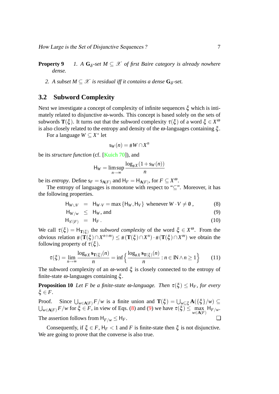**Property 9** *I*. A  $G_{\delta}$ -set  $M \subseteq \mathcal{X}$  of first Baire category is already nowhere *dense.*

2. A subset  $M \subseteq \mathcal{X}$  is residual iff it contains a dense  $G_{\delta}$ -set.

### <span id="page-8-0"></span>**3.2 Subword Complexity**

Next we investigate a concept of complexity of infinite sequences  $\xi$  which is intimately related to disjunctive  $\omega$ -words. This concept is based solely on the sets of subwords **T**( $\xi$ ). It turns out that the subword complexity  $\tau(\xi)$  of a word  $\xi \in X^{\alpha}$ is also closely related to the entropy and density of the  $\omega$ -languages containing  $\xi$ .

For a language  $W \subseteq X^*$  let

$$
s_W(n) = \#W \cap X^n
$$

be its *structure function* (cf. [\[Kuich 70](#page-18-8)]), and

$$
H_W = \limsup_{n \to \infty} \frac{\log_{\#X}(1 + s_W(n))}{n}
$$

be its *entropy*. Define  $s_F = s_{A(F)}$  and  $H_F = H_{A(F)}$ , for  $F \subseteq X^{\omega}$ .

The entropy of languages is monotone with respect to "⊆". Moreover, it has the following properties.

$$
H_{W \cup V} = H_{W \cdot V} = \max \{ H_W, H_V \} \text{ whenever } W \cdot V \neq 0 , \qquad (8)
$$

<span id="page-8-1"></span>
$$
\mathsf{H}_{W/w} \leq \mathsf{H}_W, \text{ and } \tag{9}
$$

$$
\mathsf{H}_{\mathscr{C}(F)} = \mathsf{H}_F. \tag{10}
$$

We call  $\tau(\xi) = H_{\mathbf{T}(\xi)}$  the *subword complexity* of the word  $\xi \in X^{\omega}$ . From the obvious relation  $\#(\widetilde{\mathbf{T}}(\xi) \cap X^{n+m}) \leq \#(\mathbf{T}(\xi) \cap X^n) \cdot \#(\mathbf{T}(\xi) \cap X^m)$  we obtain the following property of  $\tau(\xi)$ .

<span id="page-8-4"></span><span id="page-8-3"></span>
$$
\tau(\xi) = \lim_{n \to \infty} \frac{\log_{\# X} \mathbf{s}_{\mathbf{T}(\xi)}(n)}{n} = \inf \left\{ \frac{\log_{\# X} \mathbf{s}_{\mathbf{T}(\xi)}(n)}{n} : n \in \mathbb{N} \land n \ge 1 \right\} \tag{11}
$$

The subword complexity of an  $\omega$ -word  $\xi$  is closely connected to the entropy of finite-state  $\omega$ -languages containing  $\xi$ .

**Proposition 10** *Let F be a finite-state*  $\omega$ *-language. Then*  $\tau(\xi) \leq H_F$ *, for every*  $\xi \in F$ .

Proof. Since  $\bigcup_{w \in A(F)} F/w$  is a finite union and  $\mathbf{T}(\xi) = \bigcup_{w \subseteq \xi} \mathbf{A}(\{\xi\}/w) \subseteq$  $\bigcup_{w \in A(F)} F/w$  for  $\xi \in F$ , in view of Eqs. [\(8](#page-8-1)) and [\(9](#page-8-1)) we have  $\tau(\xi) \le \max_{w \in A(F)} H_{F/w}$ .

The assertion follows from  $H_{F/w} \leq H_F$ .

<span id="page-8-2"></span>Consequently, if  $\xi \in F$ ,  $H_F < 1$  and *F* is finite-state then  $\xi$  is not disjunctive. We are going to prove that the converse is also true.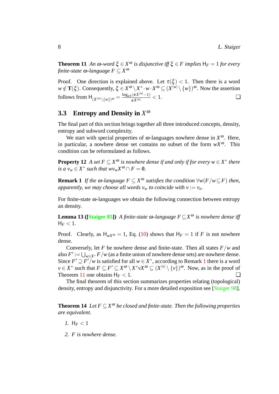**Theorem 11** *An*  $\omega$ *-word*  $\xi \in X^{\omega}$  *is disjunctive iff*  $\xi \in F$  *implies*  $H_F = 1$  *for every finite-state* ω*-language F* ⊆ *X* ω

Proof. One direction is explained above. Let  $\tau(\xi) < 1$ . Then there is a word  $w \notin \mathbf{T}(\xi)$ . Consequently,  $\xi \in X^{\omega} \setminus X^* \cdot w \cdot X^{\omega} \subseteq (X^{\vert w \vert}) \setminus \{w\})^{\omega}$ . Now the assertion  $\text{follows from } H_{(X^{|w|}\setminus\{w\})}$   $\omega = \frac{\log_{\#X}(\#X^{|w|}-1)}{\#X^{|w|}} < 1.$ 

# <span id="page-9-0"></span>**3.3 Entropy and Density in** *X* ω

The final part of this section brings together all three introduced concepts, density, entropy and subword complexity.

We start with special properties of  $\omega$ -languages nowhere dense in  $X^{\omega}$ . Here, in particular, a nowhere dense set contains no subset of the form  $wX^{\omega}$ . This condition can be reformulated as follows.

**Property 12** *A set*  $F \subseteq X^{\omega}$  *is nowhere dense if and only if for every*  $w \in X^*$  *there is a*  $v_w \in X^*$  *such that*  $wv_wX^{\omega} \cap F = \emptyset$ *.* 

<span id="page-9-1"></span>**Remark 1** *If the ω*-language  $F \subseteq X^{\omega}$  satisfies the condition  $\forall w(F/w \subseteq F)$  then, *apparently, we may choose all words*  $v_w$  *to coincide with*  $v := v_e$ *.* 

<span id="page-9-2"></span>For finite-state  $\omega$ -languages we obtain the following connection between entropy an density.

**Lemma 13 ([[Staiger 85](#page-18-9)])** *A finite-state* ω*-language F* ⊆*X* <sup>ω</sup> *is nowhere dense iff*  $H_F < 1$ .

Proof. Clearly, as  $H_{wX^{\omega}} = 1$ , Eq. [\(10](#page-8-1)) shows that  $H_F = 1$  if *F* is not nowhere dense.

Conversely, let *F* be nowhere dense and finite-state. Then all states *F*/*w* and also  $F' := \bigcup_{w \in X^*} F/w$  (as a finite union of nowhere dense sets) are nowhere dense. Since  $F' \supseteq F'/w$  is satisfied for all  $w \in X^*$ , according to Remark [1](#page-9-1) there is a word  $v \in X^*$  such that  $F \subseteq F' \subseteq X^{\omega} \setminus X^* v X^{\omega} \subseteq (X^{|v|} \setminus \{v\})^{\omega}$ . Now, as in the proof of Theorem [11](#page-8-2) one obtains  $H_F < 1$ .

<span id="page-9-3"></span>The final theorem of this section summarizes properties relating (topological) density, entropy and disjunctivity. For a more detailed exposition see [[Staiger 98](#page-18-10)].

**Theorem 14** *Let*  $F \subseteq X^{\omega}$  be closed and finite-state. Then the following properties *are equivalent.*

- *1.*  $H_F < 1$
- *2. F is nowhere dense.*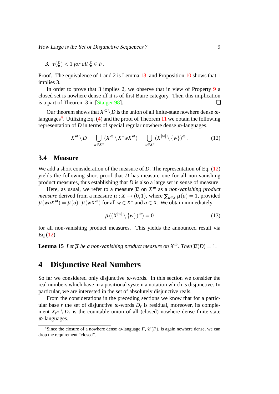*3.*  $τ(ξ) < 1$  *for all*  $ξ ∈ F$ .

Proof. The equivalence of 1 and 2 is Lemma [13](#page-9-2), and Proposition [10](#page-8-3) shows that 1 implies 3.

In order to prove that 3 implies 2, we observe that in view of Property [9](#page-7-2) a closed set is nowhere dense iff it is of first Baire category. Then this implication is a part of Theorem 3 in [\[Staiger 98\]](#page-18-10).  $\Box$ 

Our theorem shows that  $X^{\omega} \backslash D$  is the union of all finite-state nowhere dense  $\omega$ -languages<sup>[4](#page-10-2)</sup>. Utilizing Eq. ([4\)](#page-5-5) and the proof of Theorem [11](#page-8-2) we obtain the following representation of *D* in terms of special regular nowhere dense  $ω$ -languages.

<span id="page-10-3"></span>
$$
X^{\omega} \setminus D = \bigcup_{w \in X^*} (X^{\omega} \setminus X^* w X^{\omega}) = \bigcup_{w \in X^*} (X^{|w|} \setminus \{w\})^{\omega}.
$$
 (12)

#### <span id="page-10-0"></span>**3.4 Measure**

We add a short consideration of the measure of *D*. The representation of Eq. ([12\)](#page-10-3) yields the following short proof that *D* has measure one for all non-vanishing product measures, thus establishing that *D* is also a large set in sense of measure.

Here, as usual, we refer to a measure  $\overline{\mu}$  on  $X^{\omega}$  as a *non-vanishing product measure* derived from a measure  $\mu : X \to (0,1)$ , where  $\sum_{a \in X} \mu(a) = 1$ , provided  $\overline{\mu}(w a X^{\omega}) = \mu(a) \cdot \overline{\mu}(w X^{\omega})$  for all  $w \in X^*$  and  $a \in X$ . We obtain immediately

$$
\overline{\mu}((X^{|w|}\setminus\{w\})^{\omega})=0\tag{13}
$$

for all non-vanishing product measures. This yields the announced result via Eq [\(12](#page-10-3))

**Lemma 15** *Let*  $\overline{\mu}$  *be a non-vanishing product measure on*  $X^{\omega}$ *. Then*  $\overline{\mu}(D) = 1$ *.* 

## <span id="page-10-1"></span>**4 Disjunctive Real Numbers**

So far we considered only disjunctive  $\omega$ -words. In this section we consider the real numbers which have in a positional system a notation which is disjunctive. In particular, we are interested in the set of absolutely disjunctive reals,

From the considerations in the preceding sections we know that for a particular base *r* the set of disjunctive  $\omega$ -words  $D_r$  is residual, moreover, its complement  $X_{r}$ <sup> $\omega$ </sup>  $\setminus$  *D<sub>r</sub>* is the countable union of all (closed) nowhere dense finite-state  $\omega$ -languages.

<span id="page-10-2"></span><sup>&</sup>lt;sup>4</sup>Since the closure of a nowhere dense  $\omega$ -language *F*,  $\mathcal{C}(F)$ , is again nowhere dense, we can drop the requirement "closed".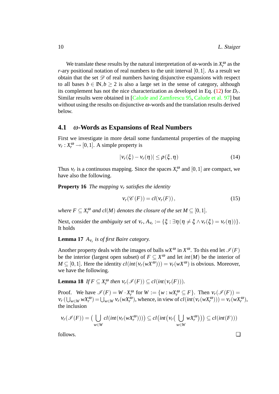We translate these results by the natural interpretation of  $\omega$ -words in  $X_r^{\alpha}$  $r_r^{\omega}$  as the *r*-ary positional notation of real numbers to the unit interval [0,1]. As a result we obtain that the set  $\mathscr D$  of real numbers having disjunctive expansions with respect to all bases  $b \in \mathbb{N}, b \ge 2$  is also a large set in the sense of category, although its complement has not the nice characterization as developed in Eq. [\(12](#page-10-3)) for *D<sup>r</sup>* . Similar results were obtained in [[Calude and Zamfirescu 95,](#page-17-7) [Calude et al. 97](#page-17-5)] but without using the results on disjunctive  $\omega$ -words and the translation results derived below.

### <span id="page-11-0"></span>**4.1** ω**-Words as Expansions of Real Numbers**

First we investigate in more detail some fundamental properties of the mapping  $v_r$ :  $X_r^{\omega} \rightarrow [0, 1]$ . A simple property is

<span id="page-11-1"></span>
$$
|v_r(\xi) - v_r(\eta)| \le \rho(\xi, \eta)
$$
\n(14)

Thus  $v_r$  is a continuous mapping. Since the spaces  $X_r^{\alpha}$  $r_r^{\omega}$  and  $[0,1]$  are compact, we have also the following.

**Property 16** *The mapping* ν*<sup>r</sup> satisfies the identity*

<span id="page-11-4"></span>
$$
\mathsf{v}_r(\mathscr{C}(F)) = cl(\mathsf{v}_r(F)),\tag{15}
$$

*where*  $F \subseteq X_r^{\omega}$  *and cl*(*M*) *denotes the closure of the set*  $M \subseteq [0,1]$ *.* 

<span id="page-11-2"></span>Next, consider the *ambiguity set* of  $v_r$ ,  $A_{v_r} := {\xi : \exists \eta (\eta \neq \xi \land v_r(\xi) = v_r(\eta)) }$ . It holds

**Lemma 17** *A*ν*<sup>r</sup> is of first Baire category.*

Another property deals with the images of balls  $wX^{\omega}$  in  $X^{\omega}$ . To this end let  $\mathcal{I}(F)$ be the interior (largest open subset) of  $F \subseteq X^{\omega}$  and let *int*(*M*) be the interior of  $M \subseteq [0,1]$ . Here the identity  $cl(int(v_r(wX^{\omega}))) = v_r(wX^{\omega})$  is obvious. Moreover, we have the following.

<span id="page-11-3"></span>**Lemma 18** *If*  $F \subseteq X_r^{\omega}$  $V_r^{\omega}$  then  $V_r(\mathscr{I}(F)) \subseteq cl(int(V_r(F))).$ 

Proof. We have  $\mathscr{I}(F) = W \cdot X_r^{\omega}$  $\mathcal{F}_r^{\omega}$  for  $W := \{ w : wX_r^{\omega} \subseteq F \}.$  Then  $v_r(\mathcal{I}(F)) =$  $V_r(\bigcup_{w \in W} wX_r^{\omega}) = \bigcup_{w \in W} v_r(wX_r^{\omega})$ , whence, in view of  $cl(int(v_r(wX_r^{\omega}))) = V_r(wX_r^{\omega})$ , the inclusion

$$
\mathsf{v}_r(\mathscr{I}(F)) = \big(\bigcup_{w \in W} cl(int(\mathsf{v}_r(wX_r^{\omega})))\big) \subseteq cl\big(int\big(\mathsf{v}_r\big(\bigcup_{w \in W} wX_r^{\omega}\big)\big)\big) \subseteq cl(int(F)))
$$

follows. ❏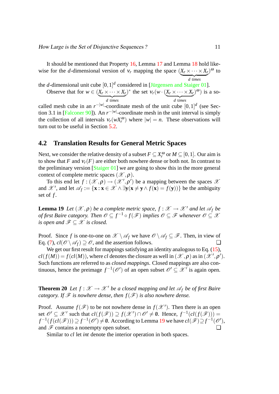It should be mentioned that Property [16](#page-11-1), Lemma [17](#page-11-2) and Lemma [18](#page-11-3) hold likewise for the *d*-dimensional version of  $V_r$  mapping the space  $(X_r \times \cdots \times X_r)$ <sup>ω</sup> to  $\overline{d}$  times *d* t*imes*

the *d*-dimensional unit cube  $[0,1]^d$  considered in [Jürgensen and Staiger 01].

Observe that for  $w \in (X_r \times \cdots \times X_r)$ | {z } *d* t*imes*  $\sum_{r=1}^{n}$  is the set  $v_r(w \cdot (X_r \times \cdots \times X_r))$ | {z } *d* t*imes*  $(\overline{a})^{\omega}$ ) is a so-

called mesh cube in an  $r^{-|w|}$ -coordinate mesh of the unit cube  $[0,1]^d$  (see Sec-tion 3.1 in [[Falconer 90\]](#page-17-9)). An  $r^{-|w|}$ -coordinate mesh in the unit interval is simply the collection of all intervals  $v_r(wX_r^{\omega})$  where  $|w| = n$ . These observations will turn out to be useful in Section [5.2](#page-15-0).

### <span id="page-12-0"></span>**4.2 Translation Results for General Metric Spaces**

Next, we consider the relative density of a subset  $F \subseteq X_r^{\omega}$  or  $M \subseteq [0,1]$ . Our aim is to show that *F* and  $v_r(F)$  are either both nowhere dense or both not. In contrast to the preliminary version [[Staiger 01](#page-18-0)] we are going to show this in the more general context of complete metric spaces  $(\mathscr{X}, \rho)$ .

To this end let  $f: (\mathscr{X}, \rho) \to (\mathscr{X}', \rho')$  be a mapping between the spaces  $\mathscr{X}$ and  $\mathscr{X}'$ , and let  $\mathscr{A}_f := \{ \mathbf{x} : \mathbf{x} \in \mathscr{X} \land \exists \mathbf{y} (\mathbf{x} \neq \mathbf{y} \land f(\mathbf{x}) = f(\mathbf{y})) \}$  be the ambiguity set of *f* .

<span id="page-12-1"></span>**Lemma 19** *Let*  $(\mathcal{X}, \rho)$  *be a complete metric space,*  $f : \mathcal{X} \to \mathcal{X}'$  *and let*  $\mathcal{A}_f$  *be of first Baire category. Then*  $\mathscr{O} \subseteq f^{-1} \circ f(\mathscr{F})$  *implies*  $\mathscr{O} \subseteq \mathscr{F}$  whenever  $\mathscr{O} \subseteq \mathscr{X}$ *is open and*  $\mathscr{F} \subset \mathscr{X}$  *is closed.* 

Proof. Since *f* is one-to-one on  $\mathscr{X} \setminus \mathscr{A}_f$  we have  $\mathscr{O} \setminus \mathscr{A}_f \subseteq \mathscr{F}$ . Then, in view of Eq. [\(7](#page-7-3)),  $cl(\mathcal{O} \setminus \mathcal{A}_f) \supseteq \mathcal{O}$ , and the assertion follows.

We get our first result for mappings satisfying an identity analogous to Eq. [\(15](#page-11-4)),  $cl(f(M)) = f(cl(M))$ , where *cl* denotes the closure as well in  $(\mathscr{X}, \rho)$  as in  $(\mathscr{X}', \rho')$ . Such functions are referred to as *closed mappings*. Closed mappings are also continuous, hence the preimage  $f^{-1}(\mathcal{O}')$  of an open subset  $\mathcal{O}' \subseteq \mathcal{X}'$  is again open.

<span id="page-12-2"></span>**Theorem 20** *Let*  $f : \mathcal{X} \to \mathcal{X}'$  *be a closed mapping and let*  $\mathcal{A}_f$  *be of first Baire category. If*  $\mathscr F$  *is nowhere dense, then*  $f(\mathscr F)$  *is also nowhere dense.* 

Proof. Assume  $f(\mathcal{F})$  to be not nowhere dense in  $f(\mathcal{X}')$ . Then there is an open set  $\mathscr{O}' \subseteq \mathscr{X}'$  such that  $cl(f(\mathscr{F})) \supseteq f(\mathscr{X}') \cap \mathscr{O}' \neq \emptyset$ . Hence,  $f^{-1}(cl(f(\mathscr{F})))$  $f^{-1}(f(cl(\mathscr{F}))) \supseteq f^{-1}(\mathscr{O}') \neq \emptyset$ . According to Lemma [19](#page-12-1) we have  $cl(\mathscr{F}) \supseteq f^{-1}(\mathscr{O}')$ , and  $\mathscr F$  contains a nonempty open subset.

<span id="page-12-3"></span>Similar to *cl* let *int* denote the interior operation in both spaces.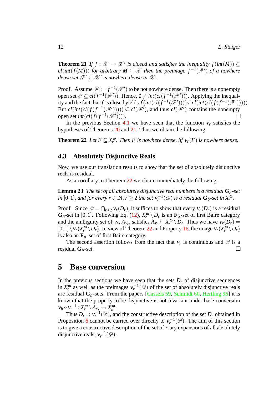**Theorem 21** *If*  $f : \mathcal{X} \to \mathcal{X}'$  is closed and satisfies the inequality  $f(int(M)) \subseteq$  $cl(int(f(M)))$  *for arbitrary*  $M \subseteq \mathcal{X}$  then the preimage  $f^{-1}(\mathcal{F}')$  of a nowhere *dense set*  $\mathscr{F}' \subseteq \mathscr{X}'$  is nowhere dense in  $\mathscr{X}$ .

Proof. Assume  $\mathscr{F} := f^{-1}(\mathscr{F}')$  to be not nowhere dense. Then there is a nonempty open set  $\mathscr{O} \subseteq cl(f^{-1}(\mathscr{F}'))$ . Hence,  $\mathscr{O} \neq int(cl(f^{-1}(\mathscr{F}')))$ . Applying the inequality and the fact that *f* is closed yields  $f(int(cl(f^{-1}(\mathscr{F}')))) \subseteq cl(int(cl(f(f^{-1}(\mathscr{F}'))))$ . But  $cl(int(cl(f(f^{-1}(\mathcal{F}'))))) \subseteq cl(\mathcal{F}'),$  and thus  $cl(\mathcal{F}')$  contains the nonempty open set *int*( $cl(f(f^{-1}(\mathscr{F}))$ )))).

In the previous Section [4.1](#page-11-0) we have seen that the function  $v_r$  satisfies the hypotheses of Theorems [20](#page-12-2) and [21.](#page-12-3) Thus we obtain the following.

<span id="page-13-2"></span>**Theorem 22** *Let*  $F \subseteq X_r^{\omega}$ *r . Then F is nowhere dense, iff* ν*r*(*F*) *is nowhere dense.*

### <span id="page-13-0"></span>**4.3 Absolutely Disjunctive Reals**

Now, we use our translation results to show that the set of absolutely disjunctive reals is residual.

As a corollary to Theorem [22](#page-13-2) we obtain immediately the following.

**Lemma 23** The set of all absolutely disjunctive real numbers is a residual  $G_{\delta}$ -set *in* [0,1], and for every  $r \in \mathbb{N}$ ,  $r \geq 2$  the set  $v_r^{-1}(\mathscr{D})$  is a residual  $\mathbf{G}_{\delta}$ -set in  $X_r^{\omega}$ .

Proof. Since  $\mathscr{D} = \bigcap_{r \geq 2} v_r(D_r)$ , it suffices to show that every  $v_r(D_r)$  is a residual **G**<sub> $\delta$ </sub>-set in [0,1]. Following Eq. [\(12](#page-10-3)),  $X_r^{\omega} \setminus D_r$  is an  $\mathbf{F}_{\sigma}$ -set of first Baire category and the ambiguity set of  $v_r$ ,  $A_{v_r}$ , satisfies  $A_{v_r} \subseteq X_r^{\omega} \setminus D_r$ . Thus we have  $v_r(D_r) =$  $[0,1] \setminus V_r(X_r^{\omega} \setminus D_r)$ . In view of Theorem [22](#page-13-2) and Property [16](#page-11-1), the image  $V_r(X_r^{\omega} \setminus D_r)$ is also an  $\mathbf{F}_{\sigma}$ -set of first Baire category.

The second assertion follows from the fact that  $v_r$  is continuous and  $\mathscr D$  is a residual **G**<sub>δ</sub>-set.  $-set.$ 

### <span id="page-13-1"></span>**5 Base conversion**

In the previous sections we have seen that the sets  $D<sub>r</sub>$  of disjunctive sequences in  $X_r^{\omega}$  $r_r^{\omega}$  as well as the preimages  $v_r^{-1}(\mathscr{D})$  of the set of absolutely disjunctive reals are residual  $G_{\delta}$ -sets. From the papers [[Cassels 59,](#page-17-2) [Schmidt 60,](#page-18-4) [Hertling 96](#page-17-1)] it is known that the property to be disjunctive is not invariant under base conversion  $V_b \circ V_r^{-1} : X_r^{\omega} \setminus A_{V_r} \to X_b^{\omega}$  $\iota_{b}^{\omega}$ .

Thus  $D_r \supset V_r^{-1}(\mathscr{D})$ , and the constructive description of the set  $D_r$  obtained in Proposition [6](#page-6-4) cannot be carried over directly to  $v_r^{-1}(\mathscr{D})$ . The aim of this section is to give a constructive description of the set of *r*-ary expansions of all absolutely disjunctive reals,  $v_r^{-1}(\mathscr{D})$ .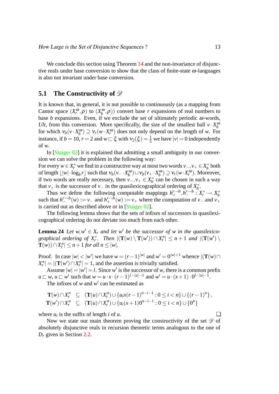We conclude this section using Theorem [14](#page-9-3) and the non-invariance of disjunctive reals under base conversion to show that the class of finite-state  $\omega$ -languages is also not invariant under base conversion.

### <span id="page-14-0"></span>**5.1 The Constructivity of**  $\mathscr{D}$

It is known that, in general, it is not possible to continuously (as a mapping from Cantor space  $(X_r^{\omega})$  $(\alpha, \rho)$  to  $(X_b^{\omega})$  $b<sub>b</sub>(\rho, \rho)$  convert base *r* expansions of real numbers to base  $b$  expansions. Even, if we exclude the set of ultimately periodic  $\omega$ -words, *Ult*, from this conversion. More specifically, the size of the smallest ball  $v \cdot X_h^{\omega}$ *b* for which  $v_b(v \cdot X_b^{\omega})$  $\mathcal{V}_b^{\omega}$ )  $\supseteq \mathcal{V}_r(w \cdot X_r^{\omega})$ *r* ) does not only depend on the length of *w*. For instance, if  $b = 10$ ,  $r = 2$  and  $w \sqsubset \xi$  with  $v_2(\xi) = \frac{1}{5}$  we have  $|v| = 0$  independently of *w*.

In [[Staiger 02\]](#page-18-5) it is explained that admitting a small ambiguity in our conversion we can solve the problem in the following way:

For every  $w \in X_r^*$  we find in a constructive way at most two words  $v_-, v_+ \in X_b^*$  $\tilde{b}$ <sup>\*</sup> both of length  $\lfloor |w| \cdot \log_b r \rfloor$  such that  $v_b(v_-\cdot X_b^{\omega})$  $\mathcal{L}_{b}^{(\omega)}\cup\mathcal{V}_{b}(\nu_{+}\cdot X_{b}^{(\omega)}).$  $\mathcal{V}_b^{(\omega)} \supseteq \mathcal{V}_r(w \cdot X_r^{(\omega)})$ *r* ). Moreover, if two words are really necessary, then  $v_-, v_+ \in X_b^*$  $b<sub>b</sub>$  can be chosen in such a way that *v*<sub>+</sub> is the successor of *v*<sub>−</sub> in the quasilexicographical ordering of  $X_b^*$  $\iota_b^*$ 

Thus we define the following computable mappings  $h^{r\to b}_+$ ,  $h^{r\to b}_-$ :  $X^*_r \to X^*_b$ *b* such that  $h^{r\to b}_-(w) := v_-\text{ and } h^{r\to b}_+(w) := v_+\text{ where the computation of } v_-\text{ and } v_+$ is carried out as described above or in [[Staiger 02](#page-18-5)].

The following lemma shows that the sets of infixes of successors in quasilexicographical ordering do not deviate too much from each other.

<span id="page-14-1"></span>**Lemma 24** *Let*  $w, w' \in X_r$  *and let*  $w'$  *be the successor of*  $w$  *in the quasilexicographical ordering of X*<sup>\*</sup>, *Then*  $|(\mathbf{T}(w) \setminus \mathbf{T}(w')) \cap X_r^n| \leq n+1$  *and*  $|(\mathbf{T}(w') \setminus$  $\mathbf{T}(w)$ ) $\cap X_r^n \leq n+1$  *for all n*  $\leq |w|$ *.* 

Proof. In case  $|w| < |w'|$  we have  $w = (r-1)^{|w|}$  and  $w' = 0^{|w|+1}$  whence  $|({\bf T}(w) \cap$  $X_r^n$ | =  $|({\bf T}(w') \cap X_r^n| = 1$ , and the assertion is trivially satisfied.

Assume  $|w| = |w'| = l$ . Since w' is the successor of w, there is a common prefix  $u \sqsubset w$ ,  $u \sqsubset w'$  such that  $w = u \cdot x \cdot (r-1)^{l-|u|-1}$  and  $w' = u \cdot (x+1) \cdot 0^{l-|u|-1}$ .

The infixes of  $w$  and  $w'$  can be estimated as

$$
\mathbf{T}(w) \cap X_r^n \subseteq (\mathbf{T}(u) \cap X_r^n) \cup \{u_i x(r-1)^{n-i-1} : 0 \le i < n\} \cup \{(r-1)^n\},
$$
  

$$
\mathbf{T}(w') \cap X_r^n \subseteq (\mathbf{T}(u) \cap X_r^n) \cup \{u_i (x+1) 0^{n-i-1} : 0 \le i < n\} \cup \{0^n\}
$$

where  $u_i$  is the suffix of length *i* of *u*.

Now we state our main theorem proving the constructivity of the set  $\mathscr D$  of absolutely disjunctive reals in recursion theoretic terms analogous to the one of *D<sup>r</sup>* given in Section [2.2.](#page-6-0)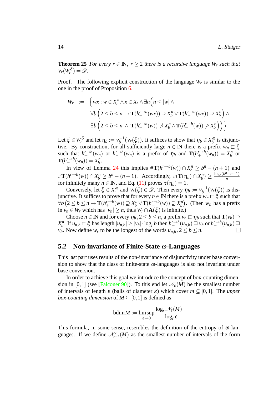**Theorem 25** *For every r*  $\in$  **N**, *r*  $\geq$  2 *there is a recursive language W<sub><i>r*</sub> such that  $v_r(W_r^{\delta}) = \mathscr{D}.$ 

Proof. The following explicit construction of the language  $W_r$  is similar to the one in the proof of Proposition [6.](#page-6-4)

$$
W_r := \left\{ wx : w \in X_r^* \land x \in X_r \land \exists n \Big( n \le |w| \land \forall b \Big( 2 \le b \le n \rightarrow \mathbf{T}(h_+^{r \to b}(wx)) \supseteq X_b^n \lor \mathbf{T}(h_-^{r \to b}(wx)) \supseteq X_b^n \Big) \land \exists b \Big( 2 \le b \le n \land \mathbf{T}(h_+^{r \to b}(w)) \not\supseteq X_b^n \land \mathbf{T}(h_-^{r \to b}(w)) \not\supseteq X_b^n \Big) \Big) \right\}
$$

Let  $\xi \in W_r^{\delta}$  and let  $\eta_b := v_b^{-1}$  $b_b^{-1}(v_r(\xi))$ . It suffices to show that  $\eta_b \in X_b^{\omega}$  $\int_b^{\omega}$  is disjunctive. By construction, for all sufficiently large  $n \in \mathbb{N}$  there is a prefix  $w_n \subset \xi$ such that  $h^{r\to b}_+(w_n)$  or  $h^{r\to b}_-(w_n)$  is a prefix of  $\eta_b$  and  $\mathbf{T}(h^{r\to b}_+(w_n)) = X_b^n$  $\int_b^n$  or  $\mathbf{T}(h^{r\rightarrow b}(w_n)) = X_b^n$  $\int\limits_b^n$ 

In view of Lemma [24](#page-14-1) this implies  $\#\mathbf{T}(h^{r\to b}_+(w)) \cap X_b^n \geq b^n - (n+1)$  and  $\#\mathbf{T}(h^{r\to b}_{-}(w)) \cap X_b^n \geq b^n - (n+1)$ . Accordingly,  $\#\(\mathbf{T}(\eta_b) \cap X_b^n)$  $\frac{\log_b(b^n-n-1)}{n}$ *n* for infinitely many  $n \in \mathbb{N}$ , and Eq. [\(11](#page-8-4)) proves  $\tau(\eta_b) = 1$ .

Conversely, let  $\xi \in X_r^{\omega}$  $v_r^{\omega}$  and  $v_r(\xi) \in \mathcal{D}$ . Then every  $\eta_b := v_b^{-1}$  $v_b^{-1}(v_r(\xi))$  is disjunctive. It suffices to prove that for every  $n \in \mathbb{N}$  there is a prefix  $w_n \subset \xi$  such that  $\forall b \left(2 \leq b \leq n \rightarrow \mathbf{T}(h^{r \rightarrow b}_{+}(w)) \supseteq X^{n}_{b} \vee \mathbf{T}(h^{r \rightarrow b}_{-}(w)) \supseteq X^{n}_{b}$  $\binom{n}{b}$ . (Then  $w_n$  has a prefix in *v<sub>n</sub>* ∈ *W<sub>r</sub>* which has  $|v_n|$  ≥ *n*, thus  $W_r \cap \mathbf{A}(\xi)$  is infinite.)

Choose  $n \in \mathbb{N}$  and for every  $\eta_b$ ,  $2 \le b \le n$ , a prefix  $v_b \sqsubset \eta_b$  such that  $\mathbf{T}(v_b) \supseteq$ *X n*  $\sum_{b}^{n}$ . If  $u_{n,b} \sqsubset \xi$  has length  $|u_{n,b}| \ge |v_b| \cdot \log_r b$  then  $h_+^{r\to b}(u_{n,b}) \sqsupseteq v_b$  or  $h_-^{r\to b}(u_{n,b}) \sqsupseteq$ *v*<sub>*b*</sub>. Now define *w<sub>r</sub>* to be the longest of the words *u*<sub>*n*,*b*</sub>, 2 ≤ *b* ≤ *n*. ◯

### <span id="page-15-0"></span>**5.2 Non-invariance of Finite-State** ω**-Languages**

This last part uses results of the non-invariance of disjunctivity under base conversion to show that the class of finite-state  $\omega$ -languages is also not invariant under base conversion.

In order to achieve this goal we introduce the concept of box-counting dimen-sion in [0,1] (see [\[Falconer 90\]](#page-17-9)). To this end let  $\mathcal{N}_\epsilon(M)$  be the smallest number of intervals of length ε (balls of diameter ε) which cover *m* ⊆ [0,1]. The *upper box-counting dimension* of  $M \subseteq [0,1]$  is defined as

$$
\overline{\text{bdim}} M := \limsup_{\varepsilon \to 0} \frac{\log_r \mathcal{N}_{\varepsilon}(M)}{-\log_r \varepsilon}.
$$

This formula, in some sense, resembles the definition of the entropy of  $\omega$ -languages. If we define  $\mathcal{N}'_{r-n}(M)$  as the smallest number of intervals of the form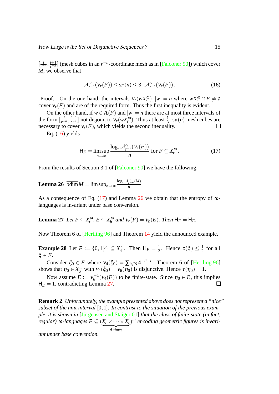$\left[\frac{i}{r-n}, \frac{i+1}{r-n}\right]$  (mesh cubes in an  $r^{-n}$ -coordinate mesh as in [\[Falconer 90\]](#page-17-9)) which cover *M*, we observe that

<span id="page-16-0"></span>
$$
\mathcal{N}'_{r^{-n}}(\mathbf{v}_r(F)) \le \mathsf{s}_F(n) \le 3 \cdot \mathcal{N}'_{r^{-n}}(\mathbf{v}_r(F)). \tag{16}
$$

Proof. On the one hand, the intervals  $v_r(wX_r^{\omega})$ ,  $|w| = n$  where  $wX_r^{\omega} \cap F \neq \emptyset$ cover  $V_r(F)$  and are of the required form. Thus the first inequality is evident.

On the other hand, if  $w \in A(F)$  and  $|w| = n$  there are at most three intervals of the form  $\left[\frac{i}{r-n}, \frac{i+1}{r-n}\right]$  not disjoint to  $v_r(wX_r^{\omega})$ . Thus at least  $\frac{1}{3} \cdot s_F(n)$  mesh cubes are necessary to cover  $V_r(F)$ , which yields the second inequality.  $\Box$ 

Eq.  $(16)$  $(16)$  yields

<span id="page-16-3"></span><span id="page-16-2"></span><span id="page-16-1"></span>
$$
H_F = \limsup_{n \to \infty} \frac{\log_r \mathcal{N}_{r^{-n}}'(v_r(F))}{n} \text{ for } F \subseteq X_r^{\omega}.
$$
 (17)

From the results of Section 3.1 of [\[Falconer 90\]](#page-17-9) we have the following.

**Lemma 26** bdim $M = \limsup_{n \to \infty}$  $log<sub>r</sub>$  N'<sub>r</sub>−*n*</sub>(*M*) *n*

As a consequence of Eq. [\(17](#page-16-1)) and Lemma [26](#page-16-2) we obtain that the entropy of  $\omega$ languages is invariant under base conversion.

**Lemma 27** *Let*  $F \subseteq X_r^{\omega}$  $r^{\omega}$ ,  $E \subseteq X_b^{\omega}$  $b_p^{\omega}$  and  $v_r(F) = v_b(E)$ *. Then*  $H_F = H_E$ *.* 

Now Theorem 6 of [[Hertling 96\]](#page-17-1) and Theorem [14](#page-9-3) yield the announced example.

**Example 28** Let  $F := \{0, 1\}^{\omega} \subseteq X_4^{\omega}$  $\frac{1}{4}$ . Then  $H_F = \frac{1}{2}$  $\frac{1}{2}$ . Hence  $\tau(\xi) \leq \frac{1}{2}$  $rac{1}{2}$  for all  $\xi \in F$ .

Consider  $\xi_0 \in F$  where  $v_4(\xi_0) = \sum_{i \in \mathbb{N}} 4^{-i!-i}$ . Theorem 6 of [[Hertling 96\]](#page-17-1) shows that  $\eta_0 \in X_6^{\omega}$  with  $v_4(\xi_0) = v_6(\eta_0)$  is disjunctive. Hence  $\tau(\eta_0) = 1$ .

Now assume  $E := v_6^{-1}$  $\eta_0^{-1}(\nu_4(F))$  to be finite-state. Since  $\eta_0 \in E$ , this implies  $H_E = 1$ , contradicting Lemma [27.](#page-16-3)  $\Box$ 

**Remark 2** *Unfortunately, the example presented above does not represent a "nice" subset of the unit interval* [0,1]*. In contrast to the situation of the previous example, it is shown in* [Jürgensen and Staiger 01] *that the class of finite-state (in fact,*  $r$ *regular*)  $\omega$ *-languages*  $F \subseteq (X_r \times \cdots \times X_r)$ | {z } *d* t*imes* ) <sup>ω</sup> *encoding geometric figures is invari-*

*ant under base conversion.*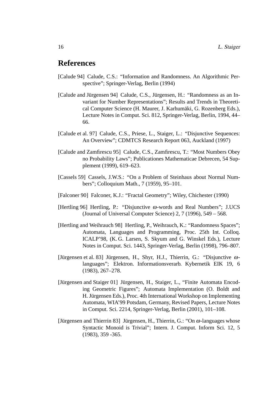# **References**

- <span id="page-17-0"></span>[Calude 94] Calude, C.S.: "Information and Randomness. An Algorithmic Perspective"; Springer-Verlag, Berlin (1994)
- <span id="page-17-3"></span>[Calude and Jürgensen 94] Calude, C.S., Jürgensen, H.: "Randomness as an Invariant for Number Representations"; Results and Trends in Theoretical Computer Science (H. Maurer, J. Karhumäki, G. Rozenberg Eds.), Lecture Notes in Comput. Sci. 812, Springer-Verlag, Berlin, 1994, 44– 66.
- <span id="page-17-5"></span>[Calude et al. 97] Calude, C.S., Priese, L., Staiger, L.: "Disjunctive Sequences: An Overview"; CDMTCS Research Report 063, Auckland (1997)
- <span id="page-17-7"></span>[Calude and Zamfirescu 95] Calude, C.S., Zamfirescu, T.: "Most Numbers Obey no Probability Laws"; Publicationes Mathematicae Debrecen, 54 Supplement (1999), 619–623.
- <span id="page-17-2"></span>[Cassels 59] Cassels, J.W.S.: "On a Problem of Steinhaus about Normal Numbers"; Colloquium Math., 7 (1959), 95–101.
- <span id="page-17-9"></span>[Falconer 90] Falconer, K.J.: "Fractal Geometry"; Wiley, Chichester (1990)
- <span id="page-17-1"></span>[Hertling 96] Hertling, P.: "Disjunctive ω-words and Real Numbers"; J.UCS (Journal of Universal Computer Science) 2, 7 (1996), 549 – 568.
- <span id="page-17-4"></span>[Hertling and Weihrauch 98] Hertling, P., Weihrauch, K.: "Randomness Spaces"; Automata, Languages and Programming, Proc. 25th Int. Colloq. ICALP'98, (K. G. Larsen, S. Skyum and G. Winskel Eds.), Lecture Notes in Comput. Sci. 1443, Springer-Verlag, Berlin (1998), 796–807.
- [Jürgensen et al. 83] Jürgensen, H., Shyr, H.J., Thierrin, G.: "Disjunctive  $\omega$ languages"; Elektron. Informationsverarb. Kybernetik EIK 19, 6 (1983), 267–278.
- <span id="page-17-8"></span>[Jürgensen and Staiger 01] Jürgensen, H., Staiger, L., "Finite Automata Encoding Geometric Figures"; Automata Implementation (O. Boldt and H. Jürgensen Eds.), Proc. 4th International Workshop on Implementing Automata, WIA'99 Potsdam, Germany, Revised Papers, Lecture Notes in Comput. Sci. 2214, Springer-Verlag, Berlin (2001), 101–108.
- <span id="page-17-6"></span>[Jürgensen and Thierrin 83] Jürgensen, H., Thierrin, G.: "On  $\omega$ -languages whose Syntactic Monoid is Trivial"; Intern. J. Comput. Inform Sci. 12, 5 (1983), 359 -365.